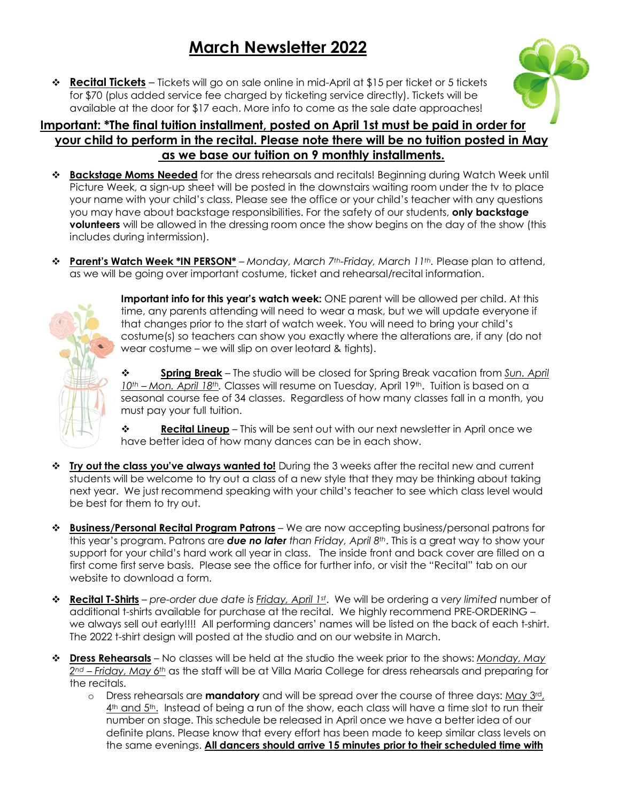# **March Newsletter 2022**

**\* Recital Tickets** – Tickets will go on sale online in mid-April at \$15 per ticket or 5 tickets for \$70 (plus added service fee charged by ticketing service directly). Tickets will be available at the door for \$17 each. More info to come as the sale date approaches!

#### **Important: \*The final tuition installment, posted on April 1st must be paid in order for your child to perform in the recital. Please note there will be no tuition posted in May as we base our tuition on 9 monthly installments.**

- v **Backstage Moms Needed** for the dress rehearsals and recitals! Beginning during Watch Week until Picture Week, a sign-up sheet will be posted in the downstairs waiting room under the tv to place your name with your child's class. Please see the office or your child's teacher with any questions you may have about backstage responsibilities. For the safety of our students, **only backstage volunteers** will be allowed in the dressing room once the show begins on the day of the show (this includes during intermission).
- v **Parent's Watch Week \*IN PERSON\*** *Monday, March 7th-Friday, March 11th.* Please plan to attend, as we will be going over important costume, ticket and rehearsal/recital information.



**Important info for this year's watch week:** ONE parent will be allowed per child. At this time, any parents attending will need to wear a mask, but we will update everyone if that changes prior to the start of watch week. You will need to bring your child's costume(s) so teachers can show you exactly where the alterations are, if any (do not wear costume – we will slip on over leotard & tights).

v **Spring Break** – The studio will be closed for Spring Break vacation from *Sun. April 10th – Mon. April 18th.* Classes will resume on Tuesday, April 19th. Tuition is based on a seasonal course fee of 34 classes. Regardless of how many classes fall in a month, you must pay your full tuition.

**↓ Recital Lineup** – This will be sent out with our next newsletter in April once we have better idea of how many dances can be in each show.

- **<sup>❖</sup> Iry out the class you've always wanted to!** During the 3 weeks after the recital new and current students will be welcome to try out a class of a new style that they may be thinking about taking next year. We just recommend speaking with your child's teacher to see which class level would be best for them to try out.
- v **Business/Personal Recital Program Patrons** We are now accepting business/personal patrons for this year's program. Patrons are *due no later than Friday, April 8th*. This is a great way to show your support for your child's hard work all year in class. The inside front and back cover are filled on a first come first serve basis. Please see the office for further info, or visit the "Recital" tab on our website to download a form.
- v **Recital T-Shirts** *pre-order due date is Friday, April 1st*. We will be ordering a *very limited* number of additional t-shirts available for purchase at the recital. We highly recommend PRE-ORDERING – we always sell out early!!!! All performing dancers' names will be listed on the back of each t-shirt. The 2022 t-shirt design will posted at the studio and on our website in March.
- v **Dress Rehearsals** No classes will be held at the studio the week prior to the shows: *Monday, May 2nd – Friday, May 6th* as the staff will be at Villa Maria College for dress rehearsals and preparing for the recitals.
	- o Dress rehearsals are **mandatory** and will be spread over the course of three days: May 3rd, 4<sup>th</sup> and 5<sup>th</sup>. Instead of being a run of the show, each class will have a time slot to run their number on stage. This schedule be released in April once we have a better idea of our definite plans. Please know that every effort has been made to keep similar class levels on the same evenings. **All dancers should arrive 15 minutes prior to their scheduled time with**

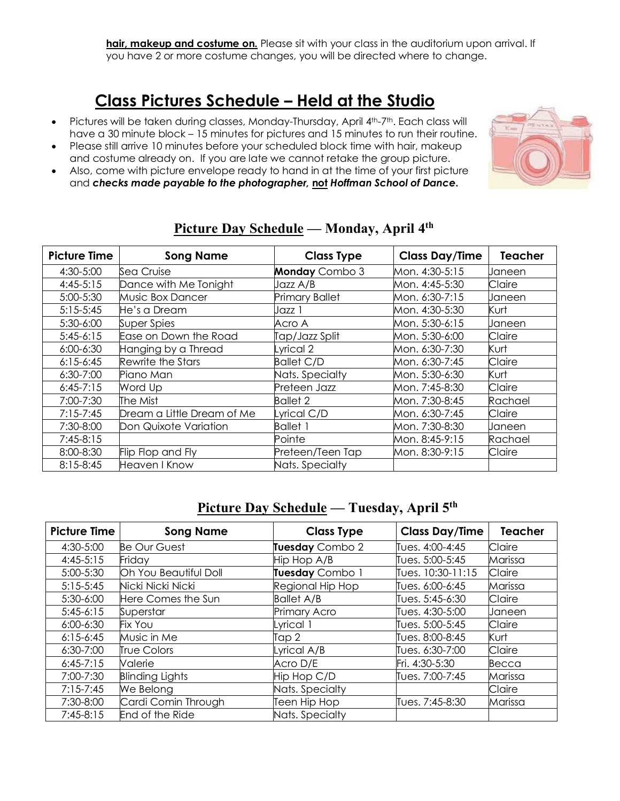**hair, makeup and costume on.** Please sit with your class in the auditorium upon arrival. If you have 2 or more costume changes, you will be directed where to change.

## **Class Pictures Schedule – Held at the Studio**

- Pictures will be taken during classes, Monday-Thursday, April 4<sup>th</sup>-7<sup>th</sup>. Each class will have a 30 minute block – 15 minutes for pictures and 15 minutes to run their routine.
- Please still arrive 10 minutes before your scheduled block time with hair, makeup and costume already on. If you are late we cannot retake the group picture.
- Also, come with picture envelope ready to hand in at the time of your first picture and *checks made payable to the photographer,* **not** *Hoffman School of Dance***.**



| <b>Picture Time</b> |                            |                       | <b>Class Day/Time</b> | <b>Teacher</b> |
|---------------------|----------------------------|-----------------------|-----------------------|----------------|
|                     | <b>Song Name</b>           | <b>Class Type</b>     |                       |                |
| 4:30-5:00           | Sea Cruise                 | <b>Monday</b> Combo 3 | Mon. 4:30-5:15        | Janeen         |
| $4:45-5:15$         | Dance with Me Tonight      | Jazz A/B              | Mon. 4:45-5:30        | Claire         |
| 5:00-5:30           | Music Box Dancer           | <b>Primary Ballet</b> | Mon. 6:30-7:15        | Janeen         |
| $5:15-5:45$         | He's a Dream               | Jazz 1                | Mon. 4:30-5:30        | Kurt           |
| $5:30-6:00$         | Super Spies                | Acro A                | Mon. 5:30-6:15        | Janeen         |
| $5:45-6:15$         | Ease on Down the Road      | Tap/Jazz Split        | Mon. 5:30-6:00        | Claire         |
| $6:00 - 6:30$       | Hanging by a Thread        | Lyrical 2             | Mon. 6:30-7:30        | Kurt           |
| $6:15-6:45$         | Rewrite the Stars          | <b>Ballet C/D</b>     | Mon. 6:30-7:45        | Claire         |
| $6:30 - 7:00$       | Piano Man                  | Nats. Specialty       | Mon. 5:30-6:30        | Kurt           |
| $6:45-7:15$         | Word Up                    | Preteen Jazz          | Mon. 7:45-8:30        | Claire         |
| $7:00 - 7:30$       | The Mist                   | <b>Ballet 2</b>       | Mon. 7:30-8:45        | Rachael        |
| $7:15 - 7:45$       | Dream a Little Dream of Me | Lyrical C/D           | Mon. 6:30-7:45        | Claire         |
| 7:30-8:00           | Don Quixote Variation      | <b>Ballet 1</b>       | Mon. 7:30-8:30        | Janeen         |
| $7:45-8:15$         |                            | Pointe                | Mon. 8:45-9:15        | Rachael        |
| 8:00-8:30           | Flip Flop and Fly          | Preteen/Teen Tap      | Mon. 8:30-9:15        | Claire         |
| $8:15 - 8:45$       | Heaven I Know              | Nats. Specialty       |                       |                |

#### **Picture Day Schedule — Monday, April 4th**

### **Picture Day Schedule — Tuesday, April 5th**

| <b>Picture Time</b> | <b>Song Name</b>       | <b>Class Type</b>   | <b>Class Day/Time</b> | <b>Teacher</b> |
|---------------------|------------------------|---------------------|-----------------------|----------------|
| 4:30-5:00           | <b>Be Our Guest</b>    | Tuesday Combo 2     | Tues. 4:00-4:45       | Claire         |
| $4:45-5:15$         | Friday                 | Hip Hop A/B         | Tues. 5:00-5:45       | Marissa        |
| 5:00-5:30           | Oh You Beautiful Doll  | Tuesday Combo 1     | Tues. 10:30-11:15     | Claire         |
| $5:15 - 5:45$       | Nicki Nicki Nicki      | Regional Hip Hop    | Tues. 6:00-6:45       | Marissa        |
| $5:30-6:00$         | Here Comes the Sun     | <b>Ballet A/B</b>   | Tues. 5:45-6:30       | Claire         |
| $5:45-6:15$         | Superstar              | <b>Primary Acro</b> | Tues. 4:30-5:00       | Janeen         |
| $6:00 - 6:30$       | <b>Fix You</b>         | Lyrical 1           | Tues. 5:00-5:45       | Claire         |
| $6:15 - 6:45$       | Music in Me            | Tap 2               | Tues. 8:00-8:45       | Kurt           |
| $6:30 - 7:00$       | <b>True Colors</b>     | Lyrical A/B         | Tues. 6:30-7:00       | Claire         |
| $6:45-7:15$         | Valerie                | Acro D/E            | Fri. 4:30-5:30        | Becca          |
| 7:00-7:30           | <b>Blinding Lights</b> | Hip Hop C/D         | Tues. 7:00-7:45       | Marissa        |
| $7:15 - 7:45$       | We Belong              | Nats. Specialty     |                       | Claire         |
| 7:30-8:00           | Cardi Comin Through    | Teen Hip Hop        | Tues. 7:45-8:30       | Marissa        |
| $7:45-8:15$         | End of the Ride        | Nats. Specialty     |                       |                |